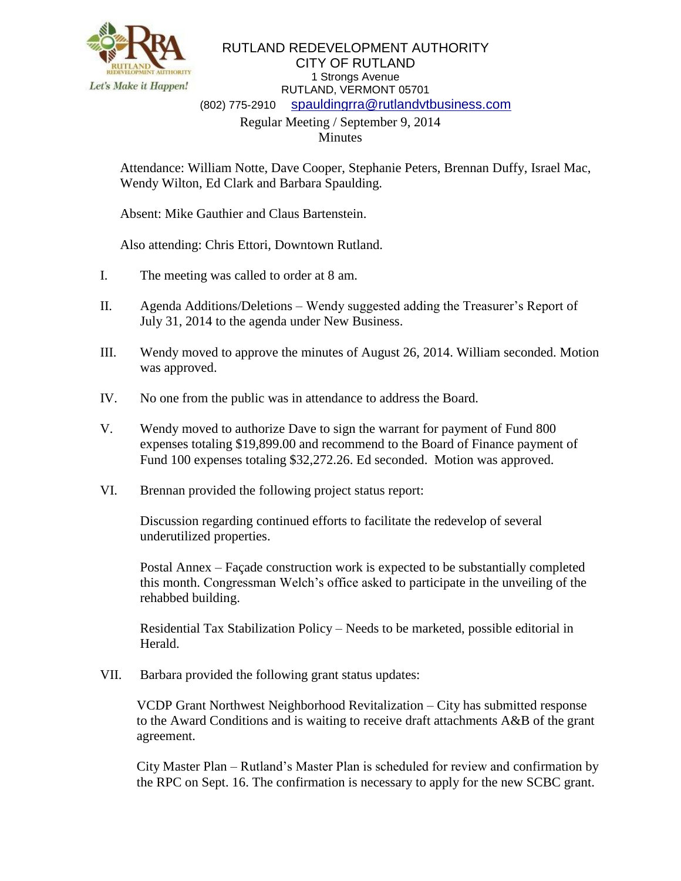

RUTLAND REDEVELOPMENT AUTHORITY CITY OF RUTLAND 1 Strongs Avenue RUTLAND, VERMONT 05701 (802) 775-2910 [spauldingrra@rutlandvtbusiness.com](mailto:allenrra@rutlandvtbusiness.com) Regular Meeting / September 9, 2014

Minutes

Attendance: William Notte, Dave Cooper, Stephanie Peters, Brennan Duffy, Israel Mac, Wendy Wilton, Ed Clark and Barbara Spaulding.

Absent: Mike Gauthier and Claus Bartenstein.

Also attending: Chris Ettori, Downtown Rutland.

- I. The meeting was called to order at 8 am.
- II. Agenda Additions/Deletions Wendy suggested adding the Treasurer's Report of July 31, 2014 to the agenda under New Business.
- III. Wendy moved to approve the minutes of August 26, 2014. William seconded. Motion was approved.
- IV. No one from the public was in attendance to address the Board.
- V. Wendy moved to authorize Dave to sign the warrant for payment of Fund 800 expenses totaling \$19,899.00 and recommend to the Board of Finance payment of Fund 100 expenses totaling \$32,272.26. Ed seconded. Motion was approved.
- VI. Brennan provided the following project status report:

Discussion regarding continued efforts to facilitate the redevelop of several underutilized properties.

Postal Annex – Façade construction work is expected to be substantially completed this month. Congressman Welch's office asked to participate in the unveiling of the rehabbed building.

Residential Tax Stabilization Policy – Needs to be marketed, possible editorial in Herald.

VII. Barbara provided the following grant status updates:

VCDP Grant Northwest Neighborhood Revitalization – City has submitted response to the Award Conditions and is waiting to receive draft attachments A&B of the grant agreement.

City Master Plan – Rutland's Master Plan is scheduled for review and confirmation by the RPC on Sept. 16. The confirmation is necessary to apply for the new SCBC grant.